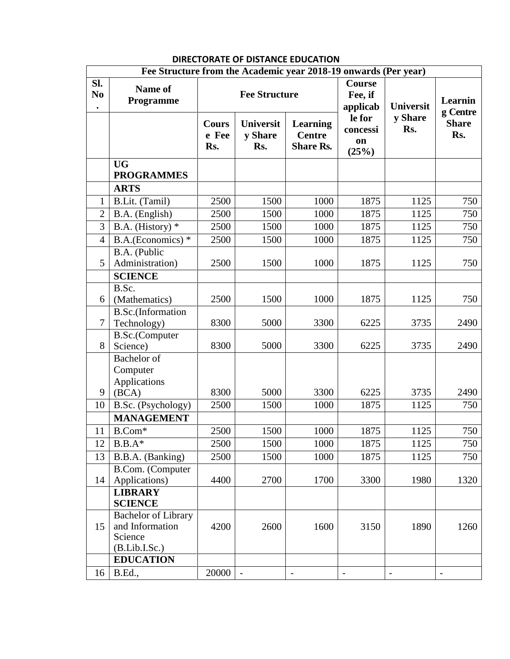|                                    | Fee Structure from the Academic year 2018-19 onwards (Per year)           |                              |                                    |                                                      |                                      |                  |                          |
|------------------------------------|---------------------------------------------------------------------------|------------------------------|------------------------------------|------------------------------------------------------|--------------------------------------|------------------|--------------------------|
| Sl.<br>N <sub>0</sub><br>$\bullet$ | Name of<br><b>Programme</b>                                               | <b>Fee Structure</b>         |                                    |                                                      | <b>Course</b><br>Fee, if<br>applicab | <b>Universit</b> | Learnin<br>g Centre      |
|                                    |                                                                           | <b>Cours</b><br>e Fee<br>Rs. | <b>Universit</b><br>y Share<br>Rs. | <b>Learning</b><br><b>Centre</b><br><b>Share Rs.</b> | le for<br>concessi<br>on<br>(25%)    | y Share<br>Rs.   | <b>Share</b><br>Rs.      |
|                                    | <b>UG</b><br><b>PROGRAMMES</b>                                            |                              |                                    |                                                      |                                      |                  |                          |
|                                    | <b>ARTS</b>                                                               |                              |                                    |                                                      |                                      |                  |                          |
| 1                                  | B.Lit. (Tamil)                                                            | 2500                         | 1500                               | 1000                                                 | 1875                                 | 1125             | 750                      |
| $\overline{2}$                     | B.A. (English)                                                            | 2500                         | 1500                               | 1000                                                 | 1875                                 | 1125             | 750                      |
| 3                                  | B.A. (History) $*$                                                        | 2500                         | 1500                               | 1000                                                 | 1875                                 | 1125             | 750                      |
| $\overline{4}$                     | B.A.(Economics) *                                                         | 2500                         | 1500                               | 1000                                                 | 1875                                 | 1125             | 750                      |
| 5                                  | B.A. (Public<br>Administration)                                           | 2500                         | 1500                               | 1000                                                 | 1875                                 | 1125             | 750                      |
|                                    | <b>SCIENCE</b>                                                            |                              |                                    |                                                      |                                      |                  |                          |
| 6                                  | B.Sc.<br>(Mathematics)                                                    | 2500                         | 1500                               | 1000                                                 | 1875                                 | 1125             | 750                      |
| $\tau$                             | <b>B.Sc.</b> (Information<br>Technology)                                  | 8300                         | 5000                               | 3300                                                 | 6225                                 | 3735             | 2490                     |
| 8                                  | B.Sc.(Computer<br>Science)                                                | 8300                         | 5000                               | 3300                                                 | 6225                                 | 3735             | 2490                     |
| 9                                  | <b>Bachelor</b> of<br>Computer<br>Applications<br>(BCA)                   | 8300                         | 5000                               | 3300                                                 | 6225                                 | 3735             | 2490                     |
| 10                                 | B.Sc. (Psychology)                                                        | 2500                         | 1500                               | 1000                                                 | 1875                                 | 1125             | 750                      |
|                                    | <b>MANAGEMENT</b>                                                         |                              |                                    |                                                      |                                      |                  |                          |
| 11                                 | B.Com*                                                                    | 2500                         | 1500                               | 1000                                                 | 1875                                 | 1125             | 750                      |
| 12                                 | $B.B.A*$                                                                  | 2500                         | 1500                               | 1000                                                 | 1875                                 | 1125             | 750                      |
| 13                                 | B.B.A. (Banking)                                                          | 2500                         | 1500                               | 1000                                                 | 1875                                 | 1125             | 750                      |
| 14                                 | B.Com. (Computer<br>Applications)                                         | 4400                         | 2700                               | 1700                                                 | 3300                                 | 1980             | 1320                     |
|                                    | <b>LIBRARY</b><br><b>SCIENCE</b>                                          |                              |                                    |                                                      |                                      |                  |                          |
| 15                                 | <b>Bachelor of Library</b><br>and Information<br>Science<br>(B.Lib.I.Sc.) | 4200                         | 2600                               | 1600                                                 | 3150                                 | 1890             | 1260                     |
|                                    | <b>EDUCATION</b>                                                          |                              |                                    |                                                      |                                      |                  |                          |
| 16                                 | <b>B.Ed.,</b>                                                             | 20000                        | $\overline{\phantom{a}}$           | $\frac{1}{2}$                                        | $\overline{\phantom{a}}$             | $\frac{1}{2}$    | $\overline{\phantom{a}}$ |

## **DIRECTORATE OF DISTANCE EDUCATION**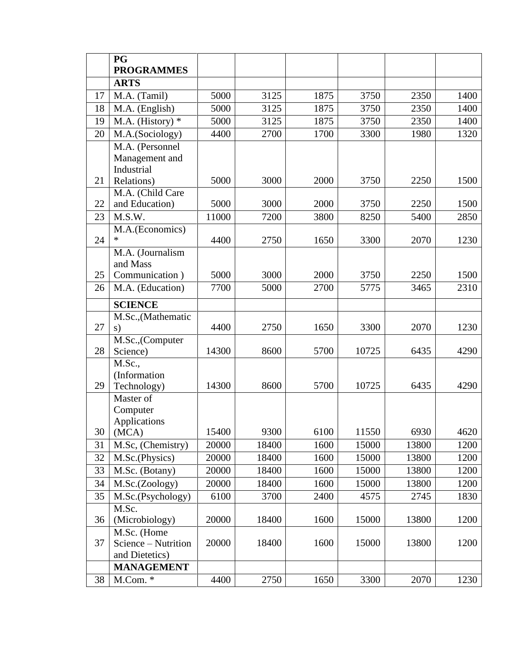|          | <b>PG</b>                                                          |              |              |              |              |              |              |
|----------|--------------------------------------------------------------------|--------------|--------------|--------------|--------------|--------------|--------------|
|          | <b>PROGRAMMES</b>                                                  |              |              |              |              |              |              |
|          | <b>ARTS</b>                                                        |              |              |              |              |              |              |
| 17       | M.A. (Tamil)                                                       | 5000         | 3125         | 1875         | 3750         | 2350         | 1400         |
| 18       | M.A. (English)                                                     | 5000         | 3125         | 1875         | 3750         | 2350         | 1400         |
| 19       | M.A. (History) $*$                                                 | 5000         | 3125         | 1875         | 3750         | 2350         | 1400         |
| 20       | M.A.(Sociology)                                                    | 4400         | 2700         | 1700         | 3300         | 1980         | 1320         |
| 21       | M.A. (Personnel<br>Management and<br>Industrial<br>Relations)      | 5000         | 3000         | 2000         | 3750         | 2250         | 1500         |
|          | M.A. (Child Care                                                   |              |              |              |              |              |              |
| 22       | and Education)                                                     | 5000         | 3000         | 2000         | 3750         | 2250         | 1500         |
| 23       | M.S.W.                                                             | 11000        | 7200         | 3800         | 8250         | 5400         | 2850         |
|          | M.A.(Economics)                                                    |              |              |              |              |              |              |
| 24       | $\ast$                                                             | 4400         | 2750         | 1650         | 3300         | 2070         | 1230         |
| 25<br>26 | M.A. (Journalism<br>and Mass<br>Communication)<br>M.A. (Education) | 5000<br>7700 | 3000<br>5000 | 2000<br>2700 | 3750<br>5775 | 2250<br>3465 | 1500<br>2310 |
|          |                                                                    |              |              |              |              |              |              |
|          | <b>SCIENCE</b>                                                     |              |              |              |              |              |              |
| 27       | M.Sc., (Mathematic<br>s)                                           | 4400         | 2750         | 1650         | 3300         | 2070         | 1230         |
| 28       | M.Sc.,(Computer<br>Science)                                        | 14300        | 8600         | 5700         | 10725        | 6435         | 4290         |
| 29       | M.Sc.,<br>(Information<br>Technology)                              | 14300        | 8600         | 5700         | 10725        | 6435         | 4290         |
| 30       | Master of<br>Computer<br>Applications<br>(MCA)                     | 15400        | 9300         | 6100         | 11550        | 6930         | 4620         |
| 31       | M.Sc, (Chemistry)                                                  | 20000        | 18400        | 1600         | 15000        | 13800        | 1200         |
| 32       | M.Sc.(Physics)                                                     | 20000        | 18400        | 1600         | 15000        | 13800        | 1200         |
| 33       | M.Sc. (Botany)                                                     | 20000        | 18400        | 1600         | 15000        | 13800        | 1200         |
| 34       | M.Sc.(Zoology)                                                     | 20000        | 18400        | 1600         | 15000        | 13800        | 1200         |
| 35       | M.Sc.(Psychology)                                                  | 6100         | 3700         | 2400         | 4575         | 2745         | 1830         |
|          | M.Sc.                                                              |              |              |              |              |              |              |
| 36       | (Microbiology)                                                     | 20000        | 18400        | 1600         | 15000        | 13800        | 1200         |
| 37       | M.Sc. (Home<br>Science – Nutrition<br>and Dietetics)               | 20000        | 18400        | 1600         | 15000        | 13800        | 1200         |
|          | <b>MANAGEMENT</b>                                                  |              |              |              |              |              |              |
| 38       | M.Com. *                                                           | 4400         | 2750         | 1650         | 3300         | 2070         | 1230         |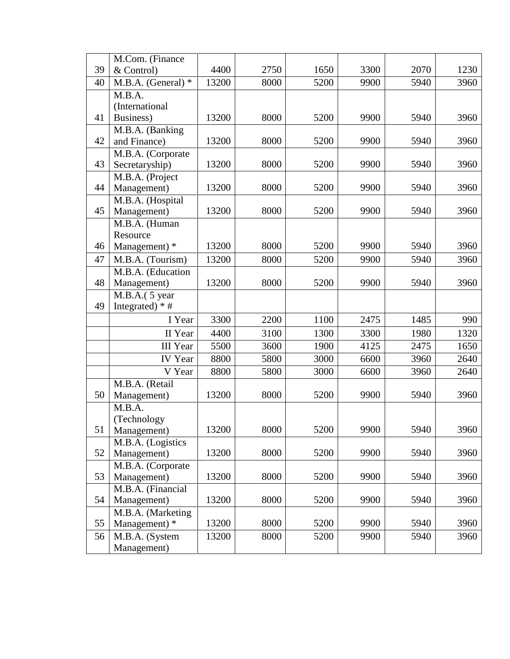|    | M.Com. (Finance                  |       |      |      |      |      |      |
|----|----------------------------------|-------|------|------|------|------|------|
| 39 | & Control)                       | 4400  | 2750 | 1650 | 3300 | 2070 | 1230 |
| 40 | M.B.A. (General) $*$             | 13200 | 8000 | 5200 | 9900 | 5940 | 3960 |
|    | M.B.A.                           |       |      |      |      |      |      |
|    | (International                   |       |      |      |      |      |      |
| 41 | Business)                        | 13200 | 8000 | 5200 | 9900 | 5940 | 3960 |
|    | M.B.A. (Banking                  |       |      |      |      |      |      |
| 42 | and Finance)                     | 13200 | 8000 | 5200 | 9900 | 5940 | 3960 |
| 43 | M.B.A. (Corporate                |       |      |      |      |      |      |
|    | Secretaryship)                   | 13200 | 8000 | 5200 | 9900 | 5940 | 3960 |
| 44 | M.B.A. (Project<br>Management)   | 13200 | 8000 | 5200 | 9900 | 5940 | 3960 |
|    | M.B.A. (Hospital                 |       |      |      |      |      |      |
| 45 | Management)                      | 13200 | 8000 | 5200 | 9900 | 5940 | 3960 |
|    | M.B.A. (Human                    |       |      |      |      |      |      |
|    | Resource                         |       |      |      |      |      |      |
| 46 | Management) *                    | 13200 | 8000 | 5200 | 9900 | 5940 | 3960 |
| 47 | M.B.A. (Tourism)                 | 13200 | 8000 | 5200 | 9900 | 5940 | 3960 |
|    | M.B.A. (Education                |       |      |      |      |      |      |
| 48 | Management)                      | 13200 | 8000 | 5200 | 9900 | 5940 | 3960 |
|    | M.B.A.( 5 year                   |       |      |      |      |      |      |
| 49 | Integrated) $*$ #                |       |      |      |      |      |      |
|    | I Year                           | 3300  | 2200 | 1100 | 2475 | 1485 | 990  |
|    | II Year                          | 4400  | 3100 | 1300 | 3300 | 1980 | 1320 |
|    | <b>III</b> Year                  | 5500  | 3600 | 1900 | 4125 | 2475 | 1650 |
|    | <b>IV</b> Year                   | 8800  | 5800 | 3000 | 6600 | 3960 | 2640 |
|    | V Year                           | 8800  | 5800 | 3000 | 6600 | 3960 | 2640 |
|    | M.B.A. (Retail                   |       |      |      |      |      |      |
| 50 | Management)                      | 13200 | 8000 | 5200 | 9900 | 5940 | 3960 |
|    | M.B.A.                           |       |      |      |      |      |      |
|    | (Technology                      |       |      |      |      |      |      |
| 51 | Management)                      | 13200 | 8000 | 5200 | 9900 | 5940 | 3960 |
| 52 | M.B.A. (Logistics<br>Management) | 13200 | 8000 | 5200 | 9900 | 5940 | 3960 |
|    | M.B.A. (Corporate                |       |      |      |      |      |      |
| 53 | Management)                      | 13200 | 8000 | 5200 | 9900 | 5940 | 3960 |
|    | M.B.A. (Financial                |       |      |      |      |      |      |
| 54 | Management)                      | 13200 | 8000 | 5200 | 9900 | 5940 | 3960 |
|    | M.B.A. (Marketing                |       |      |      |      |      |      |
| 55 | Management) *                    | 13200 | 8000 | 5200 | 9900 | 5940 | 3960 |
| 56 | M.B.A. (System                   | 13200 | 8000 | 5200 | 9900 | 5940 | 3960 |
|    | Management)                      |       |      |      |      |      |      |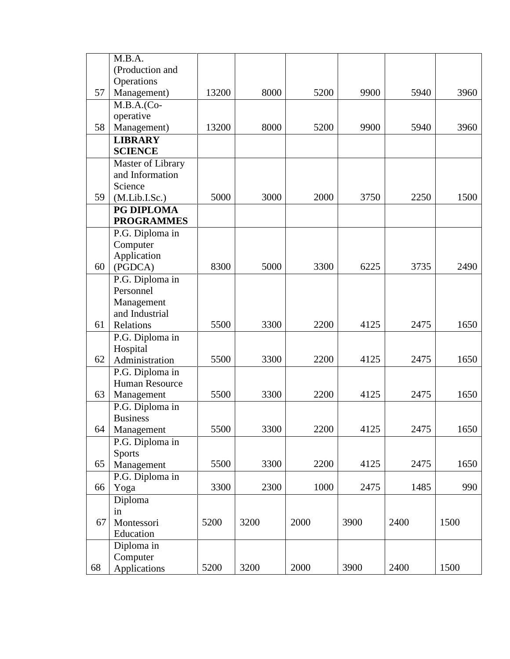|    | M.B.A.                                              |       |      |      |      |      |      |
|----|-----------------------------------------------------|-------|------|------|------|------|------|
|    | (Production and                                     |       |      |      |      |      |      |
|    | Operations                                          |       |      |      |      |      |      |
| 57 | Management)                                         | 13200 | 8000 | 5200 | 9900 | 5940 | 3960 |
|    | $M.B.A.(Co-$                                        |       |      |      |      |      |      |
|    | operative                                           |       |      |      |      |      |      |
| 58 | Management)                                         | 13200 | 8000 | 5200 | 9900 | 5940 | 3960 |
|    | <b>LIBRARY</b>                                      |       |      |      |      |      |      |
|    | <b>SCIENCE</b>                                      |       |      |      |      |      |      |
|    | Master of Library                                   |       |      |      |      |      |      |
|    | and Information                                     |       |      |      |      |      |      |
|    | Science                                             |       |      |      |      |      |      |
| 59 | (M.Lib.I.Sc.)                                       | 5000  | 3000 | 2000 | 3750 | 2250 | 1500 |
|    | PG DIPLOMA                                          |       |      |      |      |      |      |
|    | <b>PROGRAMMES</b>                                   |       |      |      |      |      |      |
|    | P.G. Diploma in                                     |       |      |      |      |      |      |
|    | Computer                                            |       |      |      |      |      |      |
|    | Application                                         |       |      |      |      |      |      |
| 60 | (PGDCA)                                             | 8300  | 5000 | 3300 | 6225 | 3735 | 2490 |
|    | P.G. Diploma in                                     |       |      |      |      |      |      |
|    | Personnel                                           |       |      |      |      |      |      |
|    | Management                                          |       |      |      |      |      |      |
|    | and Industrial                                      |       |      |      |      |      |      |
| 61 | Relations                                           | 5500  | 3300 | 2200 | 4125 | 2475 | 1650 |
|    | P.G. Diploma in                                     |       |      |      |      |      |      |
|    | Hospital                                            |       |      |      |      |      |      |
| 62 | Administration                                      | 5500  | 3300 | 2200 | 4125 | 2475 | 1650 |
|    | P.G. Diploma in                                     |       |      |      |      |      |      |
|    | Human Resource                                      |       |      |      |      |      |      |
| 63 | Management                                          | 5500  | 3300 | 2200 | 4125 | 2475 | 1650 |
|    | P.G. Diploma in                                     |       |      |      |      |      |      |
|    | <b>Business</b>                                     |       |      |      |      |      |      |
| 64 | Management                                          | 5500  | 3300 | 2200 | 4125 | 2475 | 1650 |
|    | P.G. Diploma in                                     |       |      |      |      |      |      |
| 65 | <b>Sports</b>                                       | 5500  | 3300 | 2200 | 4125 | 2475 | 1650 |
|    | Management                                          |       |      |      |      |      |      |
|    | P.G. Diploma in                                     | 3300  | 2300 | 1000 | 2475 | 1485 | 990  |
| 66 | Yoga                                                |       |      |      |      |      |      |
|    | Diploma                                             |       |      |      |      |      |      |
| 67 | in<br>Montessori                                    | 5200  | 3200 | 2000 | 3900 | 2400 | 1500 |
|    |                                                     |       |      |      |      |      |      |
|    |                                                     |       |      |      |      |      |      |
|    |                                                     |       |      |      |      |      |      |
|    |                                                     |       |      |      |      |      |      |
| 68 | Education<br>Diploma in<br>Computer<br>Applications | 5200  | 3200 | 2000 | 3900 | 2400 | 1500 |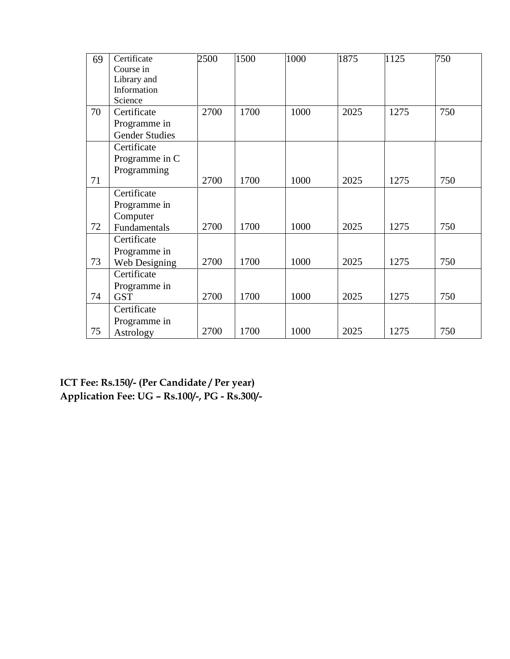| 69 | Certificate           | 2500 | 1500 | 1000 | 1875 | 1125 | 750 |
|----|-----------------------|------|------|------|------|------|-----|
|    | Course in             |      |      |      |      |      |     |
|    | Library and           |      |      |      |      |      |     |
|    | Information           |      |      |      |      |      |     |
|    | Science               |      |      |      |      |      |     |
| 70 | Certificate           | 2700 | 1700 | 1000 | 2025 | 1275 | 750 |
|    | Programme in          |      |      |      |      |      |     |
|    | <b>Gender Studies</b> |      |      |      |      |      |     |
|    | Certificate           |      |      |      |      |      |     |
|    | Programme in C        |      |      |      |      |      |     |
|    | Programming           |      |      |      |      |      |     |
| 71 |                       | 2700 | 1700 | 1000 | 2025 | 1275 | 750 |
|    | Certificate           |      |      |      |      |      |     |
|    | Programme in          |      |      |      |      |      |     |
|    | Computer              |      |      |      |      |      |     |
| 72 | Fundamentals          | 2700 | 1700 | 1000 | 2025 | 1275 | 750 |
|    | Certificate           |      |      |      |      |      |     |
|    | Programme in          |      |      |      |      |      |     |
| 73 | Web Designing         | 2700 | 1700 | 1000 | 2025 | 1275 | 750 |
|    | Certificate           |      |      |      |      |      |     |
|    | Programme in          |      |      |      |      |      |     |
| 74 | <b>GST</b>            | 2700 | 1700 | 1000 | 2025 | 1275 | 750 |
|    | Certificate           |      |      |      |      |      |     |
|    | Programme in          |      |      |      |      |      |     |
| 75 | Astrology             | 2700 | 1700 | 1000 | 2025 | 1275 | 750 |

**ICT Fee: Rs.150/- (Per Candidate / Per year) Application Fee: UG – Rs.100/-, PG - Rs.300/-**